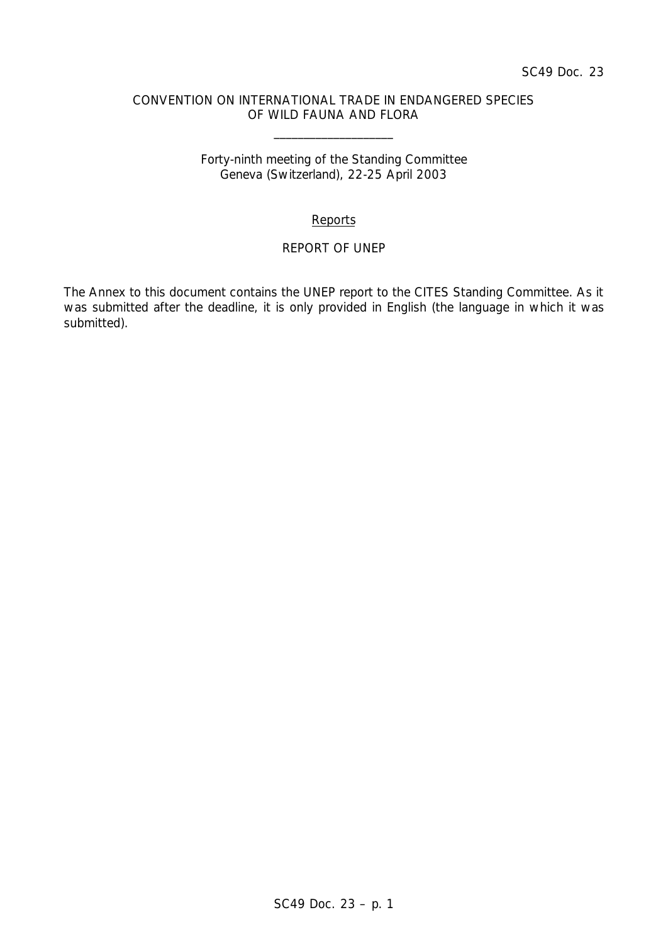### CONVENTION ON INTERNATIONAL TRADE IN ENDANGERED SPECIES OF WILD FAUNA AND FLORA

\_\_\_\_\_\_\_\_\_\_\_\_\_\_\_\_\_\_\_\_

## Forty-ninth meeting of the Standing Committee Geneva (Switzerland), 22-25 April 2003

# **Reports**

## REPORT OF UNEP

The Annex to this document contains the UNEP report to the CITES Standing Committee. As it was submitted after the deadline, it is only provided in English (the language in which it was submitted).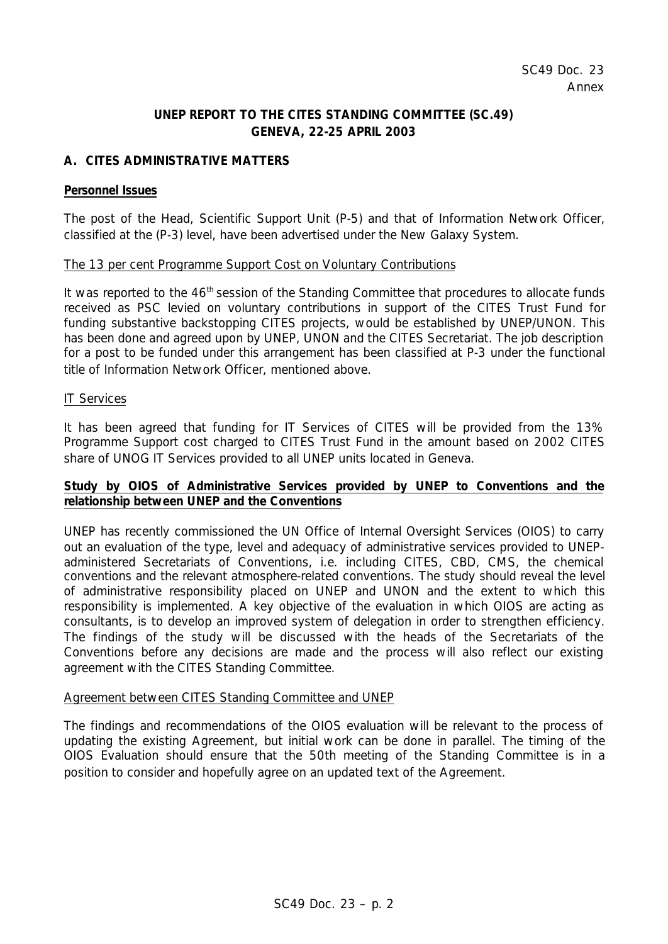# **UNEP REPORT TO THE CITES STANDING COMMITTEE (SC.49) GENEVA, 22-25 APRIL 2003**

# **A. CITES ADMINISTRATIVE MATTERS**

#### **Personnel Issues**

The post of the Head, Scientific Support Unit (P-5) and that of Information Network Officer, classified at the (P-3) level, have been advertised under the New Galaxy System.

#### The 13 per cent Programme Support Cost on Voluntary Contributions

It was reported to the 46<sup>th</sup> session of the Standing Committee that procedures to allocate funds received as PSC levied on voluntary contributions in support of the CITES Trust Fund for funding substantive backstopping CITES projects, would be established by UNEP/UNON. This has been done and agreed upon by UNEP, UNON and the CITES Secretariat. The job description for a post to be funded under this arrangement has been classified at P-3 under the functional title of Information Network Officer, mentioned above.

#### IT Services

It has been agreed that funding for IT Services of CITES will be provided from the 13% Programme Support cost charged to CITES Trust Fund in the amount based on 2002 CITES share of UNOG IT Services provided to all UNEP units located in Geneva.

## **Study by OIOS of Administrative Services provided by UNEP to Conventions and the relationship between UNEP and the Conventions**

UNEP has recently commissioned the UN Office of Internal Oversight Services (OIOS) to carry out an evaluation of the type, level and adequacy of administrative services provided to UNEPadministered Secretariats of Conventions, i.e. including CITES, CBD, CMS, the chemical conventions and the relevant atmosphere-related conventions. The study should reveal the level of administrative responsibility placed on UNEP and UNON and the extent to which this responsibility is implemented. A key objective of the evaluation in which OIOS are acting as consultants, is to develop an improved system of delegation in order to strengthen efficiency. The findings of the study will be discussed with the heads of the Secretariats of the Conventions before any decisions are made and the process will also reflect our existing agreement with the CITES Standing Committee.

## Agreement between CITES Standing Committee and UNEP

The findings and recommendations of the OIOS evaluation will be relevant to the process of updating the existing Agreement, but initial work can be done in parallel. The timing of the OIOS Evaluation should ensure that the 50th meeting of the Standing Committee is in a position to consider and hopefully agree on an updated text of the Agreement.